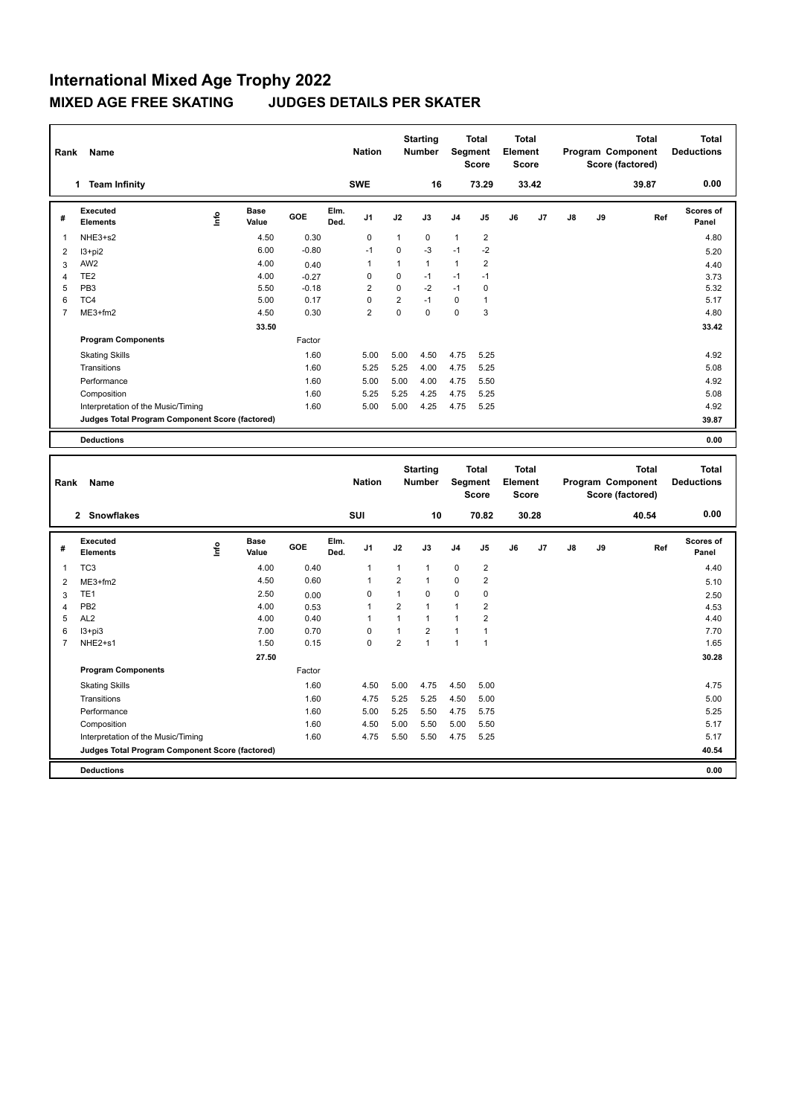| Rank           | Name                                            |      |                      |            |              | <b>Nation</b>  |                | <b>Starting</b><br><b>Number</b> |                | <b>Total</b><br>Segment<br><b>Score</b> | <b>Total</b><br>Element<br><b>Score</b> |       |    |    | <b>Total</b><br>Program Component<br>Score (factored) | <b>Total</b><br><b>Deductions</b> |
|----------------|-------------------------------------------------|------|----------------------|------------|--------------|----------------|----------------|----------------------------------|----------------|-----------------------------------------|-----------------------------------------|-------|----|----|-------------------------------------------------------|-----------------------------------|
|                | <b>Team Infinity</b><br>1                       |      |                      |            |              | <b>SWE</b>     |                | 16                               |                | 73.29                                   |                                         | 33.42 |    |    | 39.87                                                 | 0.00                              |
| #              | Executed<br><b>Elements</b>                     | lnfo | <b>Base</b><br>Value | <b>GOE</b> | Elm.<br>Ded. | J <sub>1</sub> | J2             | J3                               | J <sub>4</sub> | J <sub>5</sub>                          | J6                                      | J7    | J8 | J9 | Ref                                                   | <b>Scores of</b><br>Panel         |
| $\mathbf{1}$   | NHE3+s2                                         |      | 4.50                 | 0.30       |              | $\mathbf 0$    | $\mathbf 1$    | 0                                | $\mathbf{1}$   | 2                                       |                                         |       |    |    |                                                       | 4.80                              |
| $\overline{2}$ | $13 + pi2$                                      |      | 6.00                 | $-0.80$    |              | $-1$           | $\Omega$       | $-3$                             | $-1$           | -2                                      |                                         |       |    |    |                                                       | 5.20                              |
| 3              | AW <sub>2</sub>                                 |      | 4.00                 | 0.40       |              | 1              | 1              | 1                                | 1              | $\overline{\mathbf{c}}$                 |                                         |       |    |    |                                                       | 4.40                              |
| 4              | TE <sub>2</sub>                                 |      | 4.00                 | $-0.27$    |              | 0              | 0              | $-1$                             | $-1$           | $-1$                                    |                                         |       |    |    |                                                       | 3.73                              |
| 5              | PB <sub>3</sub>                                 |      | 5.50                 | $-0.18$    |              | 2              | $\Omega$       | $-2$                             | $-1$           | 0                                       |                                         |       |    |    |                                                       | 5.32                              |
| 6              | TC4                                             |      | 5.00                 | 0.17       |              | $\Omega$       | $\overline{2}$ | $-1$                             | $\Omega$       | $\overline{1}$                          |                                         |       |    |    |                                                       | 5.17                              |
| $\overline{7}$ | ME3+fm2                                         |      | 4.50                 | 0.30       |              | $\overline{2}$ | $\mathbf 0$    | 0                                | 0              | 3                                       |                                         |       |    |    |                                                       | 4.80                              |
|                |                                                 |      | 33.50                |            |              |                |                |                                  |                |                                         |                                         |       |    |    |                                                       | 33.42                             |
|                | <b>Program Components</b>                       |      |                      | Factor     |              |                |                |                                  |                |                                         |                                         |       |    |    |                                                       |                                   |
|                | <b>Skating Skills</b>                           |      |                      | 1.60       |              | 5.00           | 5.00           | 4.50                             | 4.75           | 5.25                                    |                                         |       |    |    |                                                       | 4.92                              |
|                | Transitions                                     |      |                      | 1.60       |              | 5.25           | 5.25           | 4.00                             | 4.75           | 5.25                                    |                                         |       |    |    |                                                       | 5.08                              |
|                | Performance                                     |      |                      | 1.60       |              | 5.00           | 5.00           | 4.00                             | 4.75           | 5.50                                    |                                         |       |    |    |                                                       | 4.92                              |
|                | Composition                                     |      |                      | 1.60       |              | 5.25           | 5.25           | 4.25                             | 4.75           | 5.25                                    |                                         |       |    |    |                                                       | 5.08                              |
|                | Interpretation of the Music/Timing              |      |                      | 1.60       |              | 5.00           | 5.00           | 4.25                             | 4.75           | 5.25                                    |                                         |       |    |    |                                                       | 4.92                              |
|                | Judges Total Program Component Score (factored) |      |                      |            |              |                |                |                                  |                |                                         |                                         |       |    |    |                                                       | 39.87                             |
|                | <b>Deductions</b>                               |      |                      |            |              |                |                |                                  |                |                                         |                                         |       |    |    |                                                       | 0.00                              |

| Rank           | Name                                            |      |                      |        |              | <b>Nation</b>  |                | <b>Starting</b><br><b>Number</b> |                | <b>Total</b><br>Segment<br><b>Score</b> | <b>Total</b><br>Element<br><b>Score</b> |       |               |    | <b>Total</b><br>Program Component<br>Score (factored) | Total<br><b>Deductions</b> |
|----------------|-------------------------------------------------|------|----------------------|--------|--------------|----------------|----------------|----------------------------------|----------------|-----------------------------------------|-----------------------------------------|-------|---------------|----|-------------------------------------------------------|----------------------------|
|                | 2 Snowflakes                                    |      |                      |        |              | SUI            |                | 10                               |                | 70.82                                   |                                         | 30.28 |               |    | 40.54                                                 | 0.00                       |
| #              | Executed<br><b>Elements</b>                     | ١nfo | <b>Base</b><br>Value | GOE    | Elm.<br>Ded. | J <sub>1</sub> | J2             | J3                               | J <sub>4</sub> | J <sub>5</sub>                          | J6                                      | J7    | $\mathsf{J}8$ | J9 | Ref                                                   | <b>Scores of</b><br>Panel  |
| 1              | TC <sub>3</sub>                                 |      | 4.00                 | 0.40   |              | 1              | $\mathbf{1}$   | $\mathbf{1}$                     | $\mathbf 0$    | $\overline{\mathbf{c}}$                 |                                         |       |               |    |                                                       | 4.40                       |
| 2              | $ME3+fm2$                                       |      | 4.50                 | 0.60   |              | 1              | $\overline{2}$ | $\overline{1}$                   | $\mathbf 0$    | 2                                       |                                         |       |               |    |                                                       | 5.10                       |
| 3              | TE <sub>1</sub>                                 |      | 2.50                 | 0.00   |              | 0              | $\mathbf{1}$   | $\mathbf 0$                      | $\mathbf 0$    | 0                                       |                                         |       |               |    |                                                       | 2.50                       |
| $\overline{4}$ | PB <sub>2</sub>                                 |      | 4.00                 | 0.53   |              | 1              | $\overline{2}$ | $\overline{1}$                   | $\mathbf{1}$   | $\overline{2}$                          |                                         |       |               |    |                                                       | 4.53                       |
| 5              | AL <sub>2</sub>                                 |      | 4.00                 | 0.40   |              | 1              | 1              | $\mathbf{1}$                     | $\mathbf{1}$   | 2                                       |                                         |       |               |    |                                                       | 4.40                       |
| 6              | $13 + pi3$                                      |      | 7.00                 | 0.70   |              | 0              | 1              | $\overline{2}$                   | $\mathbf{1}$   | 1                                       |                                         |       |               |    |                                                       | 7.70                       |
| 7              | NHE2+s1                                         |      | 1.50                 | 0.15   |              | $\Omega$       | 2              | $\overline{1}$                   | $\mathbf{1}$   | 1                                       |                                         |       |               |    |                                                       | 1.65                       |
|                |                                                 |      | 27.50                |        |              |                |                |                                  |                |                                         |                                         |       |               |    |                                                       | 30.28                      |
|                | <b>Program Components</b>                       |      |                      | Factor |              |                |                |                                  |                |                                         |                                         |       |               |    |                                                       |                            |
|                | <b>Skating Skills</b>                           |      |                      | 1.60   |              | 4.50           | 5.00           | 4.75                             | 4.50           | 5.00                                    |                                         |       |               |    |                                                       | 4.75                       |
|                | Transitions                                     |      |                      | 1.60   |              | 4.75           | 5.25           | 5.25                             | 4.50           | 5.00                                    |                                         |       |               |    |                                                       | 5.00                       |
|                | Performance                                     |      |                      | 1.60   |              | 5.00           | 5.25           | 5.50                             | 4.75           | 5.75                                    |                                         |       |               |    |                                                       | 5.25                       |
|                | Composition                                     |      |                      | 1.60   |              | 4.50           | 5.00           | 5.50                             | 5.00           | 5.50                                    |                                         |       |               |    |                                                       | 5.17                       |
|                | Interpretation of the Music/Timing              |      |                      | 1.60   |              | 4.75           | 5.50           | 5.50                             | 4.75           | 5.25                                    |                                         |       |               |    |                                                       | 5.17                       |
|                | Judges Total Program Component Score (factored) |      |                      |        |              |                |                |                                  |                |                                         |                                         |       |               |    |                                                       | 40.54                      |
|                | <b>Deductions</b>                               |      |                      |        |              |                |                |                                  |                |                                         |                                         |       |               |    |                                                       | 0.00                       |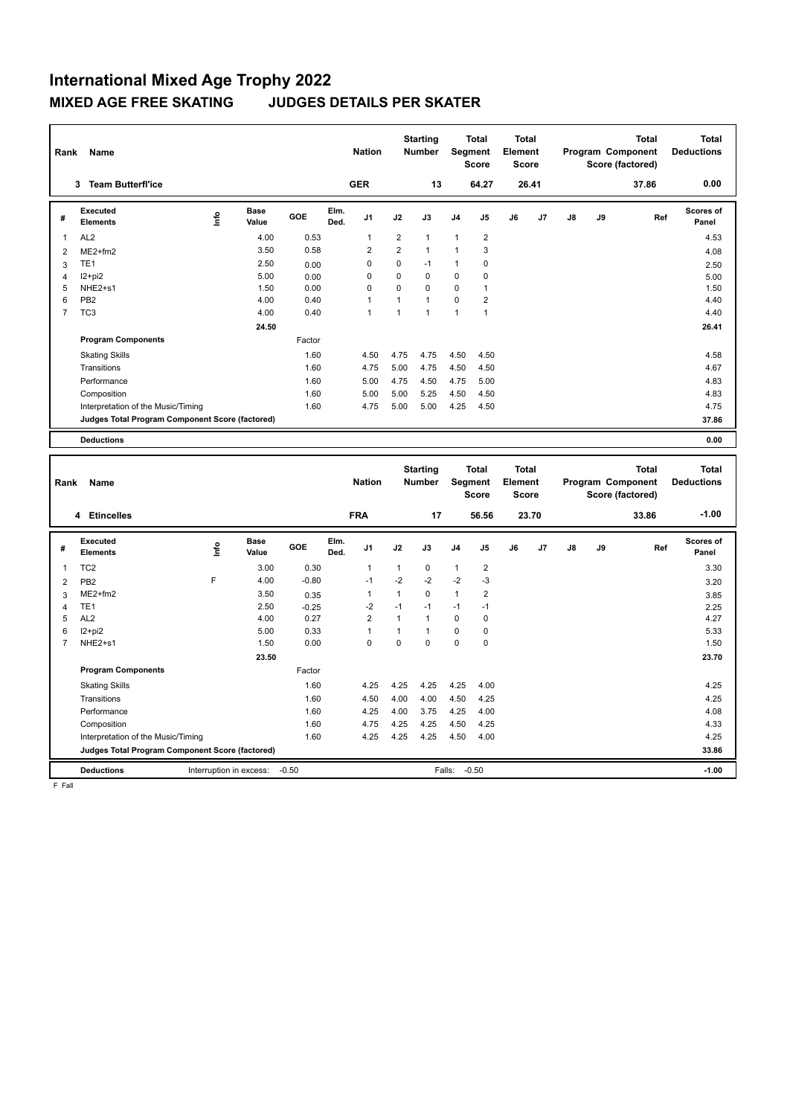| Rank           | Name                                            |    |               |        |              | <b>Nation</b>  |                | <b>Starting</b><br><b>Number</b> |                | <b>Total</b><br>Segment<br><b>Score</b> | <b>Total</b><br>Element<br><b>Score</b> |       |    |    | <b>Total</b><br>Program Component<br>Score (factored) | <b>Total</b><br><b>Deductions</b> |
|----------------|-------------------------------------------------|----|---------------|--------|--------------|----------------|----------------|----------------------------------|----------------|-----------------------------------------|-----------------------------------------|-------|----|----|-------------------------------------------------------|-----------------------------------|
|                | <b>Team Butterfl'ice</b><br>3                   |    |               |        |              | <b>GER</b>     |                | 13                               |                | 64.27                                   |                                         | 26.41 |    |    | 37.86                                                 | 0.00                              |
| #              | Executed<br><b>Elements</b>                     | ۴ů | Base<br>Value | GOE    | Elm.<br>Ded. | J <sub>1</sub> | J2             | J3                               | J <sub>4</sub> | J <sub>5</sub>                          | J6                                      | J7    | J8 | J9 | Ref                                                   | Scores of<br>Panel                |
| 1              | AL <sub>2</sub>                                 |    | 4.00          | 0.53   |              | $\overline{1}$ | $\overline{2}$ | $\mathbf{1}$                     | $\mathbf{1}$   | $\overline{2}$                          |                                         |       |    |    |                                                       | 4.53                              |
| 2              | $ME2+fm2$                                       |    | 3.50          | 0.58   |              | $\overline{2}$ | $\overline{2}$ | $\mathbf{1}$                     | 1              | 3                                       |                                         |       |    |    |                                                       | 4.08                              |
| 3              | TE <sub>1</sub>                                 |    | 2.50          | 0.00   |              | 0              | 0              | $-1$                             | $\mathbf{1}$   | 0                                       |                                         |       |    |    |                                                       | 2.50                              |
| 4              | $12+pi2$                                        |    | 5.00          | 0.00   |              | 0              | 0              | 0                                | 0              | 0                                       |                                         |       |    |    |                                                       | 5.00                              |
| 5              | NHE <sub>2+s1</sub>                             |    | 1.50          | 0.00   |              | 0              | $\Omega$       | $\Omega$                         | 0              | 1                                       |                                         |       |    |    |                                                       | 1.50                              |
| 6              | PB <sub>2</sub>                                 |    | 4.00          | 0.40   |              | $\overline{1}$ | $\mathbf{1}$   | $\mathbf{1}$                     | $\Omega$       | $\overline{2}$                          |                                         |       |    |    |                                                       | 4.40                              |
| $\overline{7}$ | TC <sub>3</sub>                                 |    | 4.00          | 0.40   |              | $\overline{1}$ | 1              | $\mathbf{1}$                     | 1              | $\overline{1}$                          |                                         |       |    |    |                                                       | 4.40                              |
|                |                                                 |    | 24.50         |        |              |                |                |                                  |                |                                         |                                         |       |    |    |                                                       | 26.41                             |
|                | <b>Program Components</b>                       |    |               | Factor |              |                |                |                                  |                |                                         |                                         |       |    |    |                                                       |                                   |
|                | <b>Skating Skills</b>                           |    |               | 1.60   |              | 4.50           | 4.75           | 4.75                             | 4.50           | 4.50                                    |                                         |       |    |    |                                                       | 4.58                              |
|                | Transitions                                     |    |               | 1.60   |              | 4.75           | 5.00           | 4.75                             | 4.50           | 4.50                                    |                                         |       |    |    |                                                       | 4.67                              |
|                | Performance                                     |    |               | 1.60   |              | 5.00           | 4.75           | 4.50                             | 4.75           | 5.00                                    |                                         |       |    |    |                                                       | 4.83                              |
|                | Composition                                     |    |               | 1.60   |              | 5.00           | 5.00           | 5.25                             | 4.50           | 4.50                                    |                                         |       |    |    |                                                       | 4.83                              |
|                | Interpretation of the Music/Timing              |    |               | 1.60   |              | 4.75           | 5.00           | 5.00                             | 4.25           | 4.50                                    |                                         |       |    |    |                                                       | 4.75                              |
|                | Judges Total Program Component Score (factored) |    |               |        |              |                |                |                                  |                |                                         |                                         |       |    |    |                                                       | 37.86                             |
|                | <b>Deductions</b>                               |    |               |        |              |                |                |                                  |                |                                         |                                         |       |    |    |                                                       | 0.00                              |

| Rank           | <b>Name</b>                                     |    |                         |         |              | <b>Nation</b>  |              | <b>Starting</b><br><b>Number</b> |                | <b>Total</b><br>Segment<br><b>Score</b> | <b>Total</b><br>Element<br><b>Score</b> |       |    |    | <b>Total</b><br>Program Component<br>Score (factored) | Total<br><b>Deductions</b> |
|----------------|-------------------------------------------------|----|-------------------------|---------|--------------|----------------|--------------|----------------------------------|----------------|-----------------------------------------|-----------------------------------------|-------|----|----|-------------------------------------------------------|----------------------------|
|                | 4 Etincelles                                    |    |                         |         |              | <b>FRA</b>     |              | 17                               |                | 56.56                                   |                                         | 23.70 |    |    | 33.86                                                 | $-1.00$                    |
| #              | Executed<br><b>Elements</b>                     | ۴ů | <b>Base</b><br>Value    | GOE     | Elm.<br>Ded. | J <sub>1</sub> | J2           | J3                               | J <sub>4</sub> | J <sub>5</sub>                          | J6                                      | J7    | J8 | J9 | Ref                                                   | <b>Scores of</b><br>Panel  |
| 1              | TC <sub>2</sub>                                 |    | 3.00                    | 0.30    |              | 1              | $\mathbf{1}$ | $\mathbf 0$                      | $\mathbf{1}$   | $\overline{\mathbf{c}}$                 |                                         |       |    |    |                                                       | 3.30                       |
| $\overline{2}$ | PB <sub>2</sub>                                 | F  | 4.00                    | $-0.80$ |              | $-1$           | $-2$         | $-2$                             | $-2$           | $-3$                                    |                                         |       |    |    |                                                       | 3.20                       |
| 3              | $ME2+fm2$                                       |    | 3.50                    | 0.35    |              | 1              | 1            | $\mathbf 0$                      | $\mathbf{1}$   | 2                                       |                                         |       |    |    |                                                       | 3.85                       |
| Δ              | TE <sub>1</sub>                                 |    | 2.50                    | $-0.25$ |              | $-2$           | $-1$         | $-1$                             | $-1$           | $-1$                                    |                                         |       |    |    |                                                       | 2.25                       |
| 5              | AL <sub>2</sub>                                 |    | 4.00                    | 0.27    |              | 2              | 1            | 1                                | $\mathbf 0$    | 0                                       |                                         |       |    |    |                                                       | 4.27                       |
| 6              | $12 + pi2$                                      |    | 5.00                    | 0.33    |              | 1              | 1            | 1                                | 0              | 0                                       |                                         |       |    |    |                                                       | 5.33                       |
| 7              | NHE2+s1                                         |    | 1.50                    | 0.00    |              | 0              | 0            | $\mathbf 0$                      | $\mathbf 0$    | 0                                       |                                         |       |    |    |                                                       | 1.50                       |
|                |                                                 |    | 23.50                   |         |              |                |              |                                  |                |                                         |                                         |       |    |    |                                                       | 23.70                      |
|                | <b>Program Components</b>                       |    |                         | Factor  |              |                |              |                                  |                |                                         |                                         |       |    |    |                                                       |                            |
|                | <b>Skating Skills</b>                           |    |                         | 1.60    |              | 4.25           | 4.25         | 4.25                             | 4.25           | 4.00                                    |                                         |       |    |    |                                                       | 4.25                       |
|                | Transitions                                     |    |                         | 1.60    |              | 4.50           | 4.00         | 4.00                             | 4.50           | 4.25                                    |                                         |       |    |    |                                                       | 4.25                       |
|                | Performance                                     |    |                         | 1.60    |              | 4.25           | 4.00         | 3.75                             | 4.25           | 4.00                                    |                                         |       |    |    |                                                       | 4.08                       |
|                | Composition                                     |    |                         | 1.60    |              | 4.75           | 4.25         | 4.25                             | 4.50           | 4.25                                    |                                         |       |    |    |                                                       | 4.33                       |
|                | Interpretation of the Music/Timing              |    |                         | 1.60    |              | 4.25           | 4.25         | 4.25                             | 4.50           | 4.00                                    |                                         |       |    |    |                                                       | 4.25                       |
|                | Judges Total Program Component Score (factored) |    |                         |         |              |                |              |                                  |                |                                         |                                         |       |    |    | 33.86                                                 |                            |
|                | <b>Deductions</b>                               |    | Interruption in excess: | $-0.50$ |              |                |              |                                  | Falls:         | $-0.50$                                 |                                         |       |    |    |                                                       | $-1.00$                    |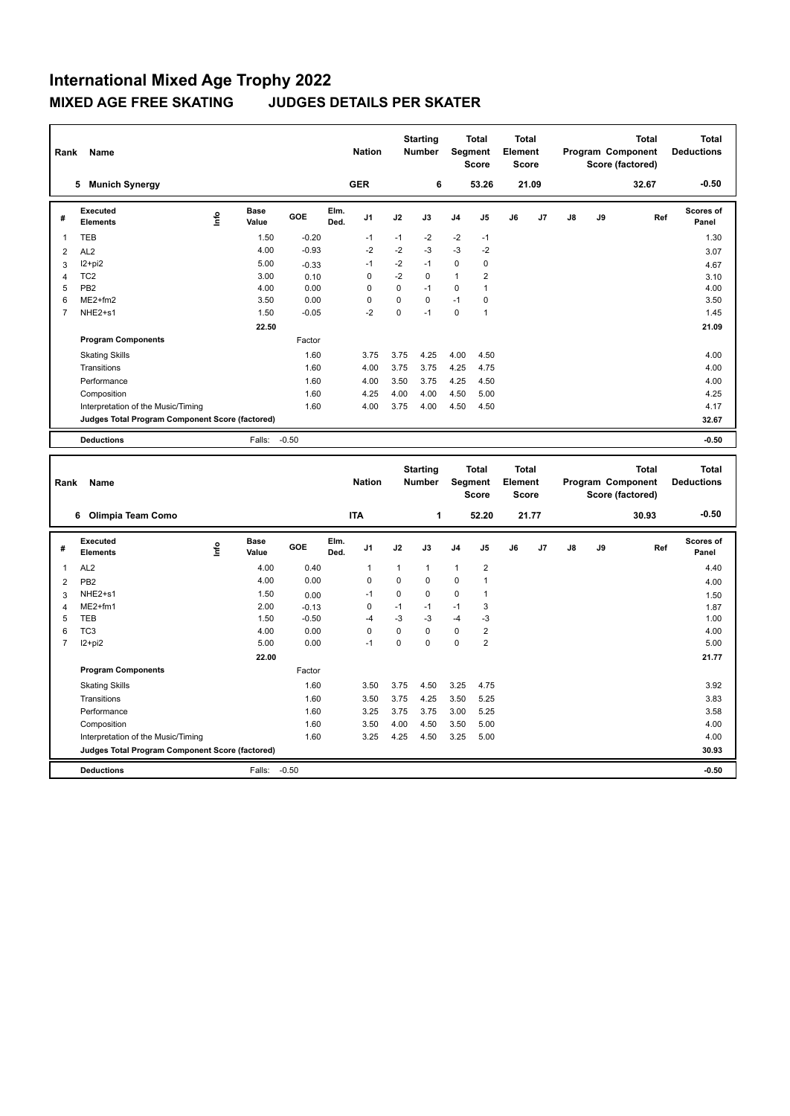| Rank           | Name                                            |      |                      |         |              | <b>Nation</b> |             | <b>Starting</b><br><b>Number</b> | Segment        | <b>Total</b><br><b>Score</b> | <b>Total</b><br>Element<br><b>Score</b> |                |    |    | <b>Total</b><br>Program Component<br>Score (factored) | <b>Total</b><br><b>Deductions</b> |
|----------------|-------------------------------------------------|------|----------------------|---------|--------------|---------------|-------------|----------------------------------|----------------|------------------------------|-----------------------------------------|----------------|----|----|-------------------------------------------------------|-----------------------------------|
|                | <b>Munich Synergy</b><br>5                      |      |                      |         |              | <b>GER</b>    |             | 6                                |                | 53.26                        |                                         | 21.09          |    |    | 32.67                                                 | $-0.50$                           |
| #              | Executed<br><b>Elements</b>                     | lnfo | <b>Base</b><br>Value | GOE     | Elm.<br>Ded. | J1            | J2          | J3                               | J <sub>4</sub> | J5                           | J6                                      | J <sub>7</sub> | J8 | J9 | Ref                                                   | <b>Scores of</b><br>Panel         |
| 1              | <b>TEB</b>                                      |      | 1.50                 | $-0.20$ |              | $-1$          | $-1$        | $-2$                             | $-2$           | $-1$                         |                                         |                |    |    |                                                       | 1.30                              |
| $\overline{2}$ | AL <sub>2</sub>                                 |      | 4.00                 | $-0.93$ |              | $-2$          | $-2$        | $-3$                             | $-3$           | $-2$                         |                                         |                |    |    |                                                       | 3.07                              |
| 3              | $12+pi2$                                        |      | 5.00                 | $-0.33$ |              | $-1$          | $-2$        | $-1$                             | $\mathbf 0$    | 0                            |                                         |                |    |    |                                                       | 4.67                              |
| $\overline{4}$ | TC <sub>2</sub>                                 |      | 3.00                 | 0.10    |              | 0             | $-2$        | $\mathbf 0$                      | $\mathbf{1}$   | $\overline{\mathbf{c}}$      |                                         |                |    |    |                                                       | 3.10                              |
| 5              | PB <sub>2</sub>                                 |      | 4.00                 | 0.00    |              | 0             | 0           | $-1$                             | 0              | 1                            |                                         |                |    |    |                                                       | 4.00                              |
| 6              | $ME2+fm2$                                       |      | 3.50                 | 0.00    |              | 0             | 0           | $\Omega$                         | $-1$           | 0                            |                                         |                |    |    |                                                       | 3.50                              |
| 7              | NHE2+s1                                         |      | 1.50                 | $-0.05$ |              | $-2$          | $\mathbf 0$ | $-1$                             | $\mathbf 0$    | $\overline{1}$               |                                         |                |    |    |                                                       | 1.45                              |
|                |                                                 |      | 22.50                |         |              |               |             |                                  |                |                              |                                         |                |    |    |                                                       | 21.09                             |
|                | <b>Program Components</b>                       |      |                      | Factor  |              |               |             |                                  |                |                              |                                         |                |    |    |                                                       |                                   |
|                | <b>Skating Skills</b>                           |      |                      | 1.60    |              | 3.75          | 3.75        | 4.25                             | 4.00           | 4.50                         |                                         |                |    |    |                                                       | 4.00                              |
|                | Transitions                                     |      |                      | 1.60    |              | 4.00          | 3.75        | 3.75                             | 4.25           | 4.75                         |                                         |                |    |    |                                                       | 4.00                              |
|                | Performance                                     |      |                      | 1.60    |              | 4.00          | 3.50        | 3.75                             | 4.25           | 4.50                         |                                         |                |    |    |                                                       | 4.00                              |
|                | Composition                                     |      |                      | 1.60    |              | 4.25          | 4.00        | 4.00                             | 4.50           | 5.00                         |                                         |                |    |    |                                                       | 4.25                              |
|                | Interpretation of the Music/Timing              |      |                      | 1.60    |              | 4.00          | 3.75        | 4.00                             | 4.50           | 4.50                         |                                         |                |    |    |                                                       | 4.17                              |
|                | Judges Total Program Component Score (factored) |      |                      |         |              |               |             |                                  |                |                              |                                         |                |    |    |                                                       | 32.67                             |
|                | <b>Deductions</b>                               |      | Falls:               | $-0.50$ |              |               |             |                                  |                |                              |                                         |                |    |    |                                                       | $-0.50$                           |

| Rank           | Name                                            |      |                      |            |              | <b>Nation</b>  |          | <b>Starting</b><br><b>Number</b> | Segment        | <b>Total</b><br><b>Score</b> | Total<br>Element<br><b>Score</b> |       |               |    | <b>Total</b><br>Program Component<br>Score (factored) | <b>Total</b><br><b>Deductions</b> |
|----------------|-------------------------------------------------|------|----------------------|------------|--------------|----------------|----------|----------------------------------|----------------|------------------------------|----------------------------------|-------|---------------|----|-------------------------------------------------------|-----------------------------------|
|                | Olimpia Team Como<br>6                          |      |                      |            |              | <b>ITA</b>     |          | 1                                |                | 52.20                        |                                  | 21.77 |               |    | 30.93                                                 | $-0.50$                           |
| #              | Executed<br><b>Elements</b>                     | lnfo | <b>Base</b><br>Value | <b>GOE</b> | Elm.<br>Ded. | J <sub>1</sub> | J2       | J3                               | J <sub>4</sub> | J <sub>5</sub>               | J6                               | J7    | $\mathsf{J}8$ | J9 | Ref                                                   | <b>Scores of</b><br>Panel         |
| 1              | AL <sub>2</sub>                                 |      | 4.00                 | 0.40       |              | 1              | 1        | $\mathbf{1}$                     | $\mathbf{1}$   | $\overline{2}$               |                                  |       |               |    |                                                       | 4.40                              |
| $\overline{2}$ | PB <sub>2</sub>                                 |      | 4.00                 | 0.00       |              | 0              | $\Omega$ | $\Omega$                         | $\mathbf 0$    | 1                            |                                  |       |               |    |                                                       | 4.00                              |
| 3              | NHE2+s1                                         |      | 1.50                 | 0.00       |              | $-1$           | 0        | 0                                | 0              | 1                            |                                  |       |               |    |                                                       | 1.50                              |
| 4              | $ME2+fm1$                                       |      | 2.00                 | $-0.13$    |              | 0              | $-1$     | $-1$                             | $-1$           | 3                            |                                  |       |               |    |                                                       | 1.87                              |
| 5              | <b>TEB</b>                                      |      | 1.50                 | $-0.50$    |              | $-4$           | $-3$     | -3                               | $-4$           | -3                           |                                  |       |               |    |                                                       | 1.00                              |
| 6              | TC <sub>3</sub>                                 |      | 4.00                 | 0.00       |              | $\Omega$       | $\Omega$ | $\Omega$                         | $\mathbf 0$    | 2                            |                                  |       |               |    |                                                       | 4.00                              |
| 7              | $12+pi2$                                        |      | 5.00                 | 0.00       |              | $-1$           | 0        | $\Omega$                         | $\Omega$       | $\overline{2}$               |                                  |       |               |    |                                                       | 5.00                              |
|                |                                                 |      | 22.00                |            |              |                |          |                                  |                |                              |                                  |       |               |    |                                                       | 21.77                             |
|                | <b>Program Components</b>                       |      |                      | Factor     |              |                |          |                                  |                |                              |                                  |       |               |    |                                                       |                                   |
|                | <b>Skating Skills</b>                           |      |                      | 1.60       |              | 3.50           | 3.75     | 4.50                             | 3.25           | 4.75                         |                                  |       |               |    |                                                       | 3.92                              |
|                | Transitions                                     |      |                      | 1.60       |              | 3.50           | 3.75     | 4.25                             | 3.50           | 5.25                         |                                  |       |               |    |                                                       | 3.83                              |
|                | Performance                                     |      |                      | 1.60       |              | 3.25           | 3.75     | 3.75                             | 3.00           | 5.25                         |                                  |       |               |    |                                                       | 3.58                              |
|                | Composition                                     |      |                      | 1.60       |              | 3.50           | 4.00     | 4.50                             | 3.50           | 5.00                         |                                  |       |               |    |                                                       | 4.00                              |
|                | Interpretation of the Music/Timing              |      |                      | 1.60       |              | 3.25           | 4.25     | 4.50                             | 3.25           | 5.00                         |                                  |       |               |    |                                                       | 4.00                              |
|                | Judges Total Program Component Score (factored) |      |                      |            |              |                |          |                                  |                |                              |                                  |       |               |    |                                                       | 30.93                             |
|                | <b>Deductions</b>                               |      | Falls:               | $-0.50$    |              |                |          |                                  |                |                              |                                  |       |               |    |                                                       | $-0.50$                           |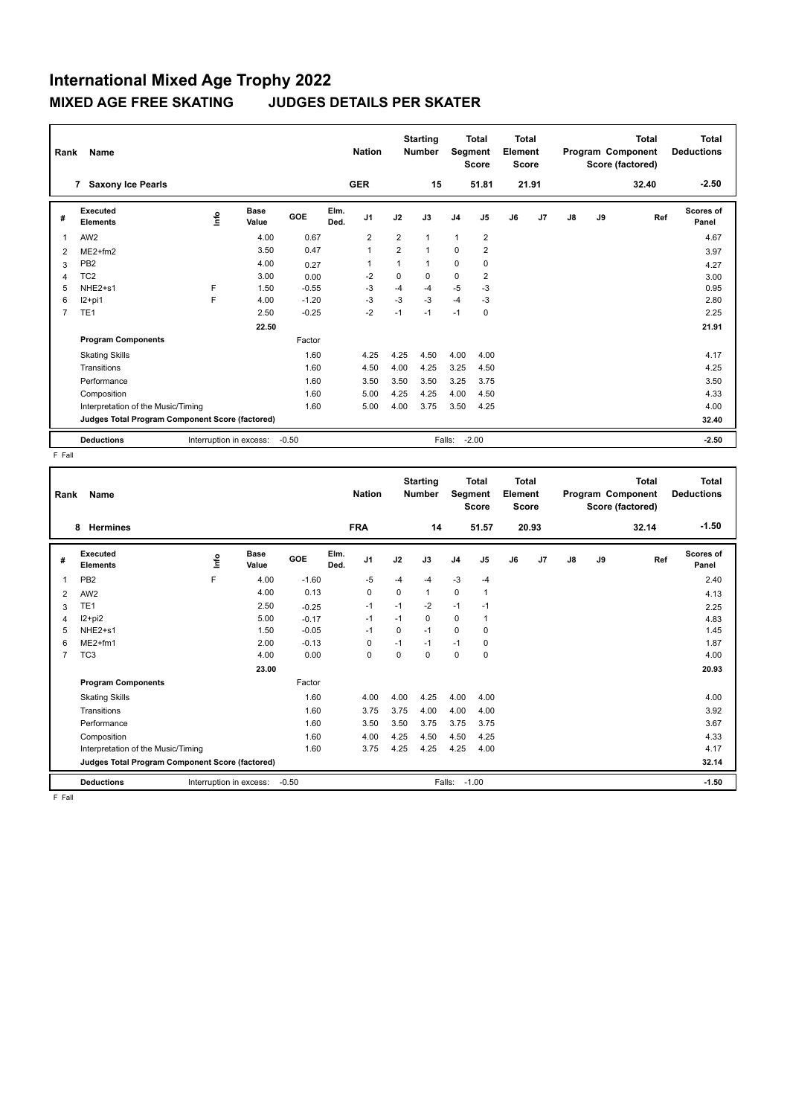| Rank | Name                                            |                         |                      |         |              | <b>Nation</b>  |                | <b>Starting</b><br>Number |                | <b>Total</b><br>Segment<br><b>Score</b> | Total<br>Element<br><b>Score</b> |                |    |    | <b>Total</b><br>Program Component<br>Score (factored) | <b>Total</b><br><b>Deductions</b> |
|------|-------------------------------------------------|-------------------------|----------------------|---------|--------------|----------------|----------------|---------------------------|----------------|-----------------------------------------|----------------------------------|----------------|----|----|-------------------------------------------------------|-----------------------------------|
|      | <b>Saxony Ice Pearls</b><br>$\overline{7}$      |                         |                      |         |              | <b>GER</b>     |                | 15                        |                | 51.81                                   |                                  | 21.91          |    |    | 32.40                                                 | $-2.50$                           |
| #    | Executed<br><b>Elements</b>                     | ۴                       | <b>Base</b><br>Value | GOE     | Elm.<br>Ded. | J <sub>1</sub> | J2             | J3                        | J <sub>4</sub> | J <sub>5</sub>                          | J6                               | J <sub>7</sub> | J8 | J9 | Ref                                                   | <b>Scores of</b><br>Panel         |
| 1    | AW <sub>2</sub>                                 |                         | 4.00                 | 0.67    |              | $\overline{2}$ | $\overline{2}$ |                           | $\mathbf{1}$   | $\overline{\mathbf{c}}$                 |                                  |                |    |    |                                                       | 4.67                              |
| 2    | $ME2+fm2$                                       |                         | 3.50                 | 0.47    |              | $\overline{1}$ | $\overline{2}$ | 1                         | 0              | $\overline{\mathbf{c}}$                 |                                  |                |    |    |                                                       | 3.97                              |
| 3    | PB <sub>2</sub>                                 |                         | 4.00                 | 0.27    |              |                | 1              | 1                         | 0              | 0                                       |                                  |                |    |    |                                                       | 4.27                              |
| 4    | TC <sub>2</sub>                                 |                         | 3.00                 | 0.00    |              | $-2$           | 0              | $\Omega$                  | 0              | $\overline{2}$                          |                                  |                |    |    |                                                       | 3.00                              |
| 5    | NHE2+s1                                         | F                       | 1.50                 | $-0.55$ |              | $-3$           | $-4$           | $-4$                      | $-5$           | $-3$                                    |                                  |                |    |    |                                                       | 0.95                              |
| 6    | I2+pi1                                          | F                       | 4.00                 | $-1.20$ |              | $-3$           | $-3$           | $-3$                      | $-4$           | $-3$                                    |                                  |                |    |    |                                                       | 2.80                              |
| 7    | TE <sub>1</sub>                                 |                         | 2.50                 | $-0.25$ |              | $-2$           | $-1$           | $-1$                      | $-1$           | 0                                       |                                  |                |    |    |                                                       | 2.25                              |
|      |                                                 |                         | 22.50                |         |              |                |                |                           |                |                                         |                                  |                |    |    |                                                       | 21.91                             |
|      | <b>Program Components</b>                       |                         |                      | Factor  |              |                |                |                           |                |                                         |                                  |                |    |    |                                                       |                                   |
|      | <b>Skating Skills</b>                           |                         |                      | 1.60    |              | 4.25           | 4.25           | 4.50                      | 4.00           | 4.00                                    |                                  |                |    |    |                                                       | 4.17                              |
|      | Transitions                                     |                         |                      | 1.60    |              | 4.50           | 4.00           | 4.25                      | 3.25           | 4.50                                    |                                  |                |    |    |                                                       | 4.25                              |
|      | Performance                                     |                         |                      | 1.60    |              | 3.50           | 3.50           | 3.50                      | 3.25           | 3.75                                    |                                  |                |    |    |                                                       | 3.50                              |
|      | Composition                                     |                         |                      | 1.60    |              | 5.00           | 4.25           | 4.25                      | 4.00           | 4.50                                    |                                  |                |    |    |                                                       | 4.33                              |
|      | Interpretation of the Music/Timing              |                         |                      | 1.60    |              | 5.00           | 4.00           | 3.75                      | 3.50           | 4.25                                    |                                  |                |    |    |                                                       | 4.00                              |
|      | Judges Total Program Component Score (factored) |                         |                      |         |              |                |                |                           |                |                                         |                                  |                |    |    |                                                       | 32.40                             |
|      | <b>Deductions</b>                               | Interruption in excess: |                      | $-0.50$ |              |                |                |                           | Falls:         | $-2.00$                                 |                                  |                |    |    |                                                       | $-2.50$                           |

F Fall

| Rank           | <b>Name</b><br><b>Hermines</b><br>8             |                         |                      |         |              | <b>Nation</b><br><b>FRA</b> |          | <b>Starting</b><br><b>Number</b><br>14 | Segment        | <b>Total</b><br><b>Score</b><br>51.57 | <b>Total</b><br>Element<br>Score | 20.93 |    |    | <b>Total</b><br>Program Component<br>Score (factored)<br>32.14 | <b>Total</b><br><b>Deductions</b><br>$-1.50$ |
|----------------|-------------------------------------------------|-------------------------|----------------------|---------|--------------|-----------------------------|----------|----------------------------------------|----------------|---------------------------------------|----------------------------------|-------|----|----|----------------------------------------------------------------|----------------------------------------------|
| #              | <b>Executed</b><br><b>Elements</b>              | lnfo                    | <b>Base</b><br>Value | GOE     | Elm.<br>Ded. | J <sub>1</sub>              | J2       | J3                                     | J <sub>4</sub> | J <sub>5</sub>                        | J6                               | J7    | J8 | J9 | Ref                                                            | Scores of<br>Panel                           |
| 1              | PB <sub>2</sub>                                 | F                       | 4.00                 | $-1.60$ |              | $-5$                        | $-4$     | $-4$                                   | $-3$           | $-4$                                  |                                  |       |    |    |                                                                | 2.40                                         |
| 2              | AW <sub>2</sub>                                 |                         | 4.00                 | 0.13    |              | 0                           | 0        | $\mathbf{1}$                           | $\mathbf 0$    | $\mathbf{1}$                          |                                  |       |    |    |                                                                | 4.13                                         |
| 3              | TE <sub>1</sub>                                 |                         | 2.50                 | $-0.25$ |              | $-1$                        | $-1$     | $-2$                                   | $-1$           | $-1$                                  |                                  |       |    |    |                                                                | 2.25                                         |
| 4              | $12+pi2$                                        |                         | 5.00                 | $-0.17$ |              | $-1$                        | $-1$     | 0                                      | 0              | $\mathbf{1}$                          |                                  |       |    |    |                                                                | 4.83                                         |
| 5              | NHE2+s1                                         |                         | 1.50                 | $-0.05$ |              | $-1$                        | $\Omega$ | $-1$                                   | 0              | 0                                     |                                  |       |    |    |                                                                | 1.45                                         |
| 6              | $ME2+fm1$                                       |                         | 2.00                 | $-0.13$ |              | 0                           | $-1$     | $-1$                                   | $-1$           | 0                                     |                                  |       |    |    |                                                                | 1.87                                         |
| $\overline{7}$ | TC <sub>3</sub>                                 |                         | 4.00                 | 0.00    |              | $\Omega$                    | $\Omega$ | 0                                      | $\mathbf 0$    | $\Omega$                              |                                  |       |    |    |                                                                | 4.00                                         |
|                |                                                 |                         | 23.00                |         |              |                             |          |                                        |                |                                       |                                  |       |    |    |                                                                | 20.93                                        |
|                | <b>Program Components</b>                       |                         |                      | Factor  |              |                             |          |                                        |                |                                       |                                  |       |    |    |                                                                |                                              |
|                | <b>Skating Skills</b>                           |                         |                      | 1.60    |              | 4.00                        | 4.00     | 4.25                                   | 4.00           | 4.00                                  |                                  |       |    |    |                                                                | 4.00                                         |
|                | Transitions                                     |                         |                      | 1.60    |              | 3.75                        | 3.75     | 4.00                                   | 4.00           | 4.00                                  |                                  |       |    |    |                                                                | 3.92                                         |
|                | Performance                                     |                         |                      | 1.60    |              | 3.50                        | 3.50     | 3.75                                   | 3.75           | 3.75                                  |                                  |       |    |    |                                                                | 3.67                                         |
|                | Composition                                     |                         |                      | 1.60    |              | 4.00                        | 4.25     | 4.50                                   | 4.50           | 4.25                                  |                                  |       |    |    |                                                                | 4.33                                         |
|                | Interpretation of the Music/Timing              |                         |                      | 1.60    |              | 3.75                        | 4.25     | 4.25                                   | 4.25           | 4.00                                  |                                  |       |    |    |                                                                | 4.17                                         |
|                | Judges Total Program Component Score (factored) |                         |                      |         |              |                             |          |                                        |                |                                       |                                  |       |    |    |                                                                | 32.14                                        |
|                | <b>Deductions</b>                               | Interruption in excess: |                      | $-0.50$ |              |                             |          | Falls:                                 |                | $-1.00$                               |                                  |       |    |    |                                                                | $-1.50$                                      |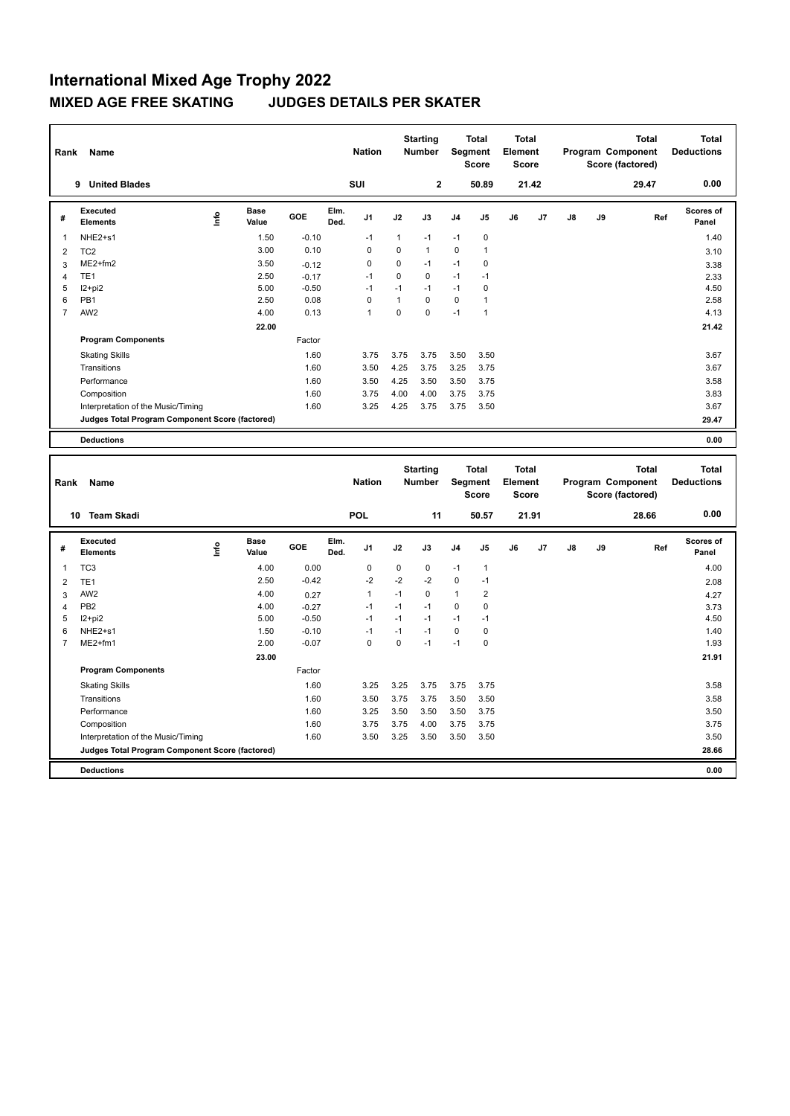| Rank           | Name                                            |      |               |         |              | <b>Nation</b>  |          | <b>Starting</b><br><b>Number</b> |                | <b>Total</b><br>Segment<br><b>Score</b> | <b>Total</b><br>Element<br><b>Score</b> |       |    |    | <b>Total</b><br>Program Component<br>Score (factored) | Total<br><b>Deductions</b> |
|----------------|-------------------------------------------------|------|---------------|---------|--------------|----------------|----------|----------------------------------|----------------|-----------------------------------------|-----------------------------------------|-------|----|----|-------------------------------------------------------|----------------------------|
|                | <b>United Blades</b><br>9                       |      |               |         |              | <b>SUI</b>     |          | $\overline{2}$                   |                | 50.89                                   |                                         | 21.42 |    |    | 29.47                                                 | 0.00                       |
| #              | Executed<br><b>Elements</b>                     | lnfo | Base<br>Value | GOE     | Elm.<br>Ded. | J <sub>1</sub> | J2       | J3                               | J <sub>4</sub> | J <sub>5</sub>                          | J6                                      | J7    | J8 | J9 | Ref                                                   | <b>Scores of</b><br>Panel  |
| $\mathbf 1$    | NHE2+s1                                         |      | 1.50          | $-0.10$ |              | $-1$           | 1        | $-1$                             | $-1$           | $\mathbf 0$                             |                                         |       |    |    |                                                       | 1.40                       |
| 2              | TC <sub>2</sub>                                 |      | 3.00          | 0.10    |              | 0              | 0        | 1                                | $\mathbf 0$    | $\overline{1}$                          |                                         |       |    |    |                                                       | 3.10                       |
| 3              | $ME2+fm2$                                       |      | 3.50          | $-0.12$ |              | 0              | $\Omega$ | $-1$                             | $-1$           | 0                                       |                                         |       |    |    |                                                       | 3.38                       |
| $\overline{4}$ | TE <sub>1</sub>                                 |      | 2.50          | $-0.17$ |              | $-1$           | 0        | 0                                | $-1$           | $-1$                                    |                                         |       |    |    |                                                       | 2.33                       |
| 5              | $12 + pi2$                                      |      | 5.00          | $-0.50$ |              | $-1$           | $-1$     | $-1$                             | $-1$           | 0                                       |                                         |       |    |    |                                                       | 4.50                       |
| 6              | PB <sub>1</sub>                                 |      | 2.50          | 0.08    |              | $\Omega$       | 1        | $\Omega$                         | 0              | $\overline{\phantom{a}}$                |                                         |       |    |    |                                                       | 2.58                       |
| $\overline{7}$ | AW <sub>2</sub>                                 |      | 4.00          | 0.13    |              | $\overline{1}$ | 0        | $\Omega$                         | $-1$           | $\overline{1}$                          |                                         |       |    |    |                                                       | 4.13                       |
|                |                                                 |      | 22.00         |         |              |                |          |                                  |                |                                         |                                         |       |    |    |                                                       | 21.42                      |
|                | <b>Program Components</b>                       |      |               | Factor  |              |                |          |                                  |                |                                         |                                         |       |    |    |                                                       |                            |
|                | <b>Skating Skills</b>                           |      |               | 1.60    |              | 3.75           | 3.75     | 3.75                             | 3.50           | 3.50                                    |                                         |       |    |    |                                                       | 3.67                       |
|                | Transitions                                     |      |               | 1.60    |              | 3.50           | 4.25     | 3.75                             | 3.25           | 3.75                                    |                                         |       |    |    |                                                       | 3.67                       |
|                | Performance                                     |      |               | 1.60    |              | 3.50           | 4.25     | 3.50                             | 3.50           | 3.75                                    |                                         |       |    |    |                                                       | 3.58                       |
|                | Composition                                     |      |               | 1.60    |              | 3.75           | 4.00     | 4.00                             | 3.75           | 3.75                                    |                                         |       |    |    |                                                       | 3.83                       |
|                | Interpretation of the Music/Timing              |      |               | 1.60    |              | 3.25           | 4.25     | 3.75                             | 3.75           | 3.50                                    |                                         |       |    |    |                                                       | 3.67                       |
|                | Judges Total Program Component Score (factored) |      |               |         |              |                |          |                                  |                |                                         |                                         |       |    |    |                                                       | 29.47                      |
|                | <b>Deductions</b>                               |      |               |         |              |                |          |                                  |                |                                         |                                         |       |    |    |                                                       | 0.00                       |

| Rank           | Name                                            |      |                      |            |              | <b>Nation</b>  |             | <b>Starting</b><br><b>Number</b> |                | <b>Total</b><br>Segment<br><b>Score</b> | <b>Total</b><br>Element<br><b>Score</b> |       |    |    | <b>Total</b><br>Program Component<br>Score (factored) | <b>Total</b><br><b>Deductions</b> |
|----------------|-------------------------------------------------|------|----------------------|------------|--------------|----------------|-------------|----------------------------------|----------------|-----------------------------------------|-----------------------------------------|-------|----|----|-------------------------------------------------------|-----------------------------------|
|                | <b>Team Skadi</b><br>10                         |      |                      |            |              | <b>POL</b>     |             | 11                               |                | 50.57                                   |                                         | 21.91 |    |    | 28.66                                                 | 0.00                              |
| #              | Executed<br><b>Elements</b>                     | lnfo | <b>Base</b><br>Value | <b>GOE</b> | Elm.<br>Ded. | J <sub>1</sub> | J2          | J3                               | J <sub>4</sub> | J <sub>5</sub>                          | J6                                      | J7    | J8 | J9 | Ref                                                   | Scores of<br>Panel                |
| 1              | TC <sub>3</sub>                                 |      | 4.00                 | 0.00       |              | 0              | $\mathbf 0$ | $\mathbf 0$                      | $-1$           | $\mathbf{1}$                            |                                         |       |    |    |                                                       | 4.00                              |
| $\overline{2}$ | TE <sub>1</sub>                                 |      | 2.50                 | $-0.42$    |              | $-2$           | $-2$        | $-2$                             | $\mathbf 0$    | $-1$                                    |                                         |       |    |    |                                                       | 2.08                              |
| 3              | AW <sub>2</sub>                                 |      | 4.00                 | 0.27       |              | 1              | $-1$        | $\mathbf 0$                      | $\mathbf{1}$   | 2                                       |                                         |       |    |    |                                                       | 4.27                              |
| 4              | PB <sub>2</sub>                                 |      | 4.00                 | $-0.27$    |              | $-1$           | $-1$        | $-1$                             | $\mathbf 0$    | 0                                       |                                         |       |    |    |                                                       | 3.73                              |
| 5              | $12+pi2$                                        |      | 5.00                 | $-0.50$    |              | $-1$           | $-1$        | $-1$                             | $-1$           | $-1$                                    |                                         |       |    |    |                                                       | 4.50                              |
| 6              | NHE <sub>2+s1</sub>                             |      | 1.50                 | $-0.10$    |              | $-1$           | $-1$        | $-1$                             | $\Omega$       | 0                                       |                                         |       |    |    |                                                       | 1.40                              |
| 7              | $ME2+fm1$                                       |      | 2.00                 | $-0.07$    |              | 0              | 0           | $-1$                             | $-1$           | 0                                       |                                         |       |    |    |                                                       | 1.93                              |
|                |                                                 |      | 23.00                |            |              |                |             |                                  |                |                                         |                                         |       |    |    |                                                       | 21.91                             |
|                | <b>Program Components</b>                       |      |                      | Factor     |              |                |             |                                  |                |                                         |                                         |       |    |    |                                                       |                                   |
|                | <b>Skating Skills</b>                           |      |                      | 1.60       |              | 3.25           | 3.25        | 3.75                             | 3.75           | 3.75                                    |                                         |       |    |    |                                                       | 3.58                              |
|                | Transitions                                     |      |                      | 1.60       |              | 3.50           | 3.75        | 3.75                             | 3.50           | 3.50                                    |                                         |       |    |    |                                                       | 3.58                              |
|                | Performance                                     |      |                      | 1.60       |              | 3.25           | 3.50        | 3.50                             | 3.50           | 3.75                                    |                                         |       |    |    |                                                       | 3.50                              |
|                | Composition                                     |      |                      | 1.60       |              | 3.75           | 3.75        | 4.00                             | 3.75           | 3.75                                    |                                         |       |    |    |                                                       | 3.75                              |
|                | Interpretation of the Music/Timing              |      |                      | 1.60       |              | 3.50           | 3.25        | 3.50                             | 3.50           | 3.50                                    |                                         |       |    |    |                                                       | 3.50                              |
|                | Judges Total Program Component Score (factored) |      |                      |            |              |                |             |                                  |                |                                         |                                         |       |    |    |                                                       | 28.66                             |
|                | <b>Deductions</b>                               |      |                      |            |              |                |             |                                  |                |                                         |                                         |       |    |    |                                                       | 0.00                              |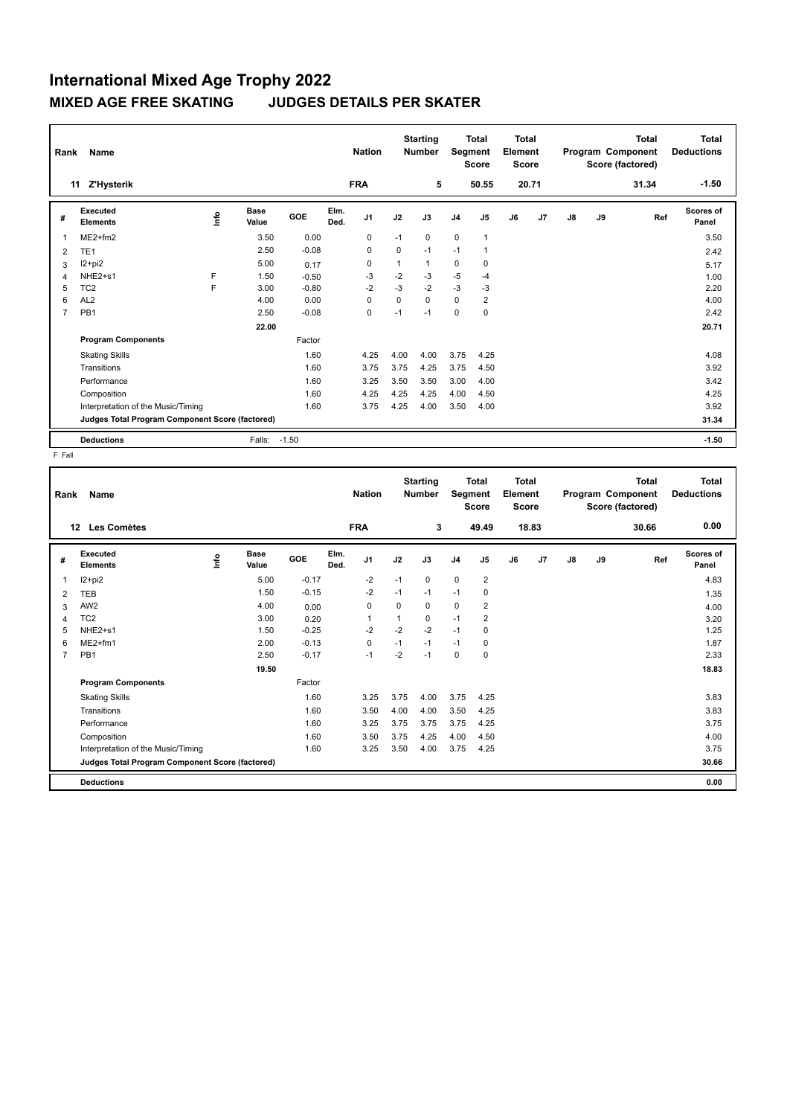| Rank | Name                                            |    |                      |         |              | <b>Nation</b>  |             | <b>Starting</b><br><b>Number</b> |             | <b>Total</b><br>Segment<br><b>Score</b> | Total<br>Element<br>Score |       |               |    | <b>Total</b><br>Program Component<br>Score (factored) | Total<br><b>Deductions</b> |
|------|-------------------------------------------------|----|----------------------|---------|--------------|----------------|-------------|----------------------------------|-------------|-----------------------------------------|---------------------------|-------|---------------|----|-------------------------------------------------------|----------------------------|
|      | <b>Z'Hysterik</b><br>11                         |    |                      |         |              | <b>FRA</b>     |             | 5                                |             | 50.55                                   |                           | 20.71 |               |    | 31.34                                                 | $-1.50$                    |
| #    | <b>Executed</b><br><b>Elements</b>              | ۴ů | <b>Base</b><br>Value | GOE     | Elm.<br>Ded. | J <sub>1</sub> | J2          | J3                               | J4          | J <sub>5</sub>                          | J6                        | J7    | $\mathsf{J}8$ | J9 | Ref                                                   | <b>Scores of</b><br>Panel  |
| 1    | $ME2+fm2$                                       |    | 3.50                 | 0.00    |              | 0              | $-1$        | 0                                | 0           | $\mathbf{1}$                            |                           |       |               |    |                                                       | 3.50                       |
| 2    | TE <sub>1</sub>                                 |    | 2.50                 | $-0.08$ |              | 0              | 0           | $-1$                             | $-1$        |                                         |                           |       |               |    |                                                       | 2.42                       |
| 3    | $12+pi2$                                        |    | 5.00                 | 0.17    |              | 0              |             | 1                                | $\mathbf 0$ | 0                                       |                           |       |               |    |                                                       | 5.17                       |
| 4    | NHE <sub>2+s1</sub>                             | F  | 1.50                 | $-0.50$ |              | -3             | $-2$        | -3                               | $-5$        | $-4$                                    |                           |       |               |    |                                                       | 1.00                       |
| 5    | TC <sub>2</sub>                                 | F  | 3.00                 | $-0.80$ |              | $-2$           | $-3$        | $-2$                             | $-3$        | $-3$                                    |                           |       |               |    |                                                       | 2.20                       |
| 6    | AL <sub>2</sub>                                 |    | 4.00                 | 0.00    |              | $\Omega$       | $\mathbf 0$ | $\Omega$                         | 0           | $\overline{2}$                          |                           |       |               |    |                                                       | 4.00                       |
| 7    | PB <sub>1</sub>                                 |    | 2.50                 | $-0.08$ |              | $\mathbf 0$    | $-1$        | $-1$                             | 0           | $\mathbf 0$                             |                           |       |               |    |                                                       | 2.42                       |
|      |                                                 |    | 22.00                |         |              |                |             |                                  |             |                                         |                           |       |               |    |                                                       | 20.71                      |
|      | <b>Program Components</b>                       |    |                      | Factor  |              |                |             |                                  |             |                                         |                           |       |               |    |                                                       |                            |
|      | <b>Skating Skills</b>                           |    |                      | 1.60    |              | 4.25           | 4.00        | 4.00                             | 3.75        | 4.25                                    |                           |       |               |    |                                                       | 4.08                       |
|      | Transitions                                     |    |                      | 1.60    |              | 3.75           | 3.75        | 4.25                             | 3.75        | 4.50                                    |                           |       |               |    |                                                       | 3.92                       |
|      | Performance                                     |    |                      | 1.60    |              | 3.25           | 3.50        | 3.50                             | 3.00        | 4.00                                    |                           |       |               |    |                                                       | 3.42                       |
|      | Composition                                     |    |                      | 1.60    |              | 4.25           | 4.25        | 4.25                             | 4.00        | 4.50                                    |                           |       |               |    |                                                       | 4.25                       |
|      | Interpretation of the Music/Timing              |    |                      | 1.60    |              | 3.75           | 4.25        | 4.00                             | 3.50        | 4.00                                    |                           |       |               |    |                                                       | 3.92                       |
|      | Judges Total Program Component Score (factored) |    |                      |         |              |                |             |                                  |             |                                         |                           |       |               |    |                                                       | 31.34                      |
|      | <b>Deductions</b>                               |    | Falls:               | $-1.50$ |              |                |             |                                  |             |                                         |                           |       |               |    |                                                       | $-1.50$                    |

| Rank           | Name                                            |                              |       |         |              | <b>Nation</b>  |      | <b>Starting</b><br><b>Number</b> |                | <b>Total</b><br>Segment<br><b>Score</b> | <b>Total</b><br>Element<br><b>Score</b> |                |               |    | <b>Total</b><br>Program Component<br>Score (factored) | <b>Total</b><br><b>Deductions</b> |
|----------------|-------------------------------------------------|------------------------------|-------|---------|--------------|----------------|------|----------------------------------|----------------|-----------------------------------------|-----------------------------------------|----------------|---------------|----|-------------------------------------------------------|-----------------------------------|
| 12             | Les Comètes                                     |                              |       |         |              | <b>FRA</b>     |      | 3                                |                | 49.49                                   |                                         | 18.83          |               |    | 30.66                                                 | 0.00                              |
| #              | Executed<br><b>Elements</b>                     | <b>Base</b><br>١nf٥<br>Value |       | GOE     | Elm.<br>Ded. | J <sub>1</sub> | J2   | J3                               | J <sub>4</sub> | J5                                      | J6                                      | J <sub>7</sub> | $\mathsf{J}8$ | J9 | Ref                                                   | Scores of<br>Panel                |
| 1              | I2+pi2                                          |                              | 5.00  | $-0.17$ |              | $-2$           | $-1$ | 0                                | $\mathbf 0$    | $\overline{2}$                          |                                         |                |               |    |                                                       | 4.83                              |
| 2              | <b>TEB</b>                                      |                              | 1.50  | $-0.15$ |              | $-2$           | $-1$ | $-1$                             | $-1$           | 0                                       |                                         |                |               |    |                                                       | 1.35                              |
| 3              | AW <sub>2</sub>                                 |                              | 4.00  | 0.00    |              | 0              | 0    | 0                                | 0              | 2                                       |                                         |                |               |    |                                                       | 4.00                              |
| 4              | TC <sub>2</sub>                                 |                              | 3.00  | 0.20    |              |                | 1    | 0                                | $-1$           | 2                                       |                                         |                |               |    |                                                       | 3.20                              |
| 5              | NHE2+s1                                         |                              | 1.50  | $-0.25$ |              | $-2$           | $-2$ | $-2$                             | $-1$           | 0                                       |                                         |                |               |    |                                                       | 1.25                              |
| 6              | $ME2+fm1$                                       |                              | 2.00  | $-0.13$ |              | $\mathbf 0$    | $-1$ | $-1$                             | $-1$           | 0                                       |                                         |                |               |    |                                                       | 1.87                              |
| $\overline{7}$ | PB <sub>1</sub>                                 |                              | 2.50  | $-0.17$ |              | $-1$           | $-2$ | $-1$                             | 0              | 0                                       |                                         |                |               |    |                                                       | 2.33                              |
|                |                                                 |                              | 19.50 |         |              |                |      |                                  |                |                                         |                                         |                |               |    |                                                       | 18.83                             |
|                | <b>Program Components</b>                       |                              |       | Factor  |              |                |      |                                  |                |                                         |                                         |                |               |    |                                                       |                                   |
|                | <b>Skating Skills</b>                           |                              |       | 1.60    |              | 3.25           | 3.75 | 4.00                             | 3.75           | 4.25                                    |                                         |                |               |    |                                                       | 3.83                              |
|                | Transitions                                     |                              |       | 1.60    |              | 3.50           | 4.00 | 4.00                             | 3.50           | 4.25                                    |                                         |                |               |    |                                                       | 3.83                              |
|                | Performance                                     |                              |       | 1.60    |              | 3.25           | 3.75 | 3.75                             | 3.75           | 4.25                                    |                                         |                |               |    |                                                       | 3.75                              |
|                | Composition                                     |                              |       | 1.60    |              | 3.50           | 3.75 | 4.25                             | 4.00           | 4.50                                    |                                         |                |               |    |                                                       | 4.00                              |
|                | Interpretation of the Music/Timing              |                              |       | 1.60    |              | 3.25           | 3.50 | 4.00                             | 3.75           | 4.25                                    |                                         |                |               |    |                                                       | 3.75                              |
|                | Judges Total Program Component Score (factored) |                              |       |         |              |                |      |                                  |                |                                         |                                         |                |               |    |                                                       | 30.66                             |
|                | <b>Deductions</b>                               |                              |       |         |              |                |      |                                  |                |                                         |                                         |                |               |    |                                                       | 0.00                              |
|                |                                                 |                              |       |         |              |                |      |                                  |                |                                         |                                         |                |               |    |                                                       |                                   |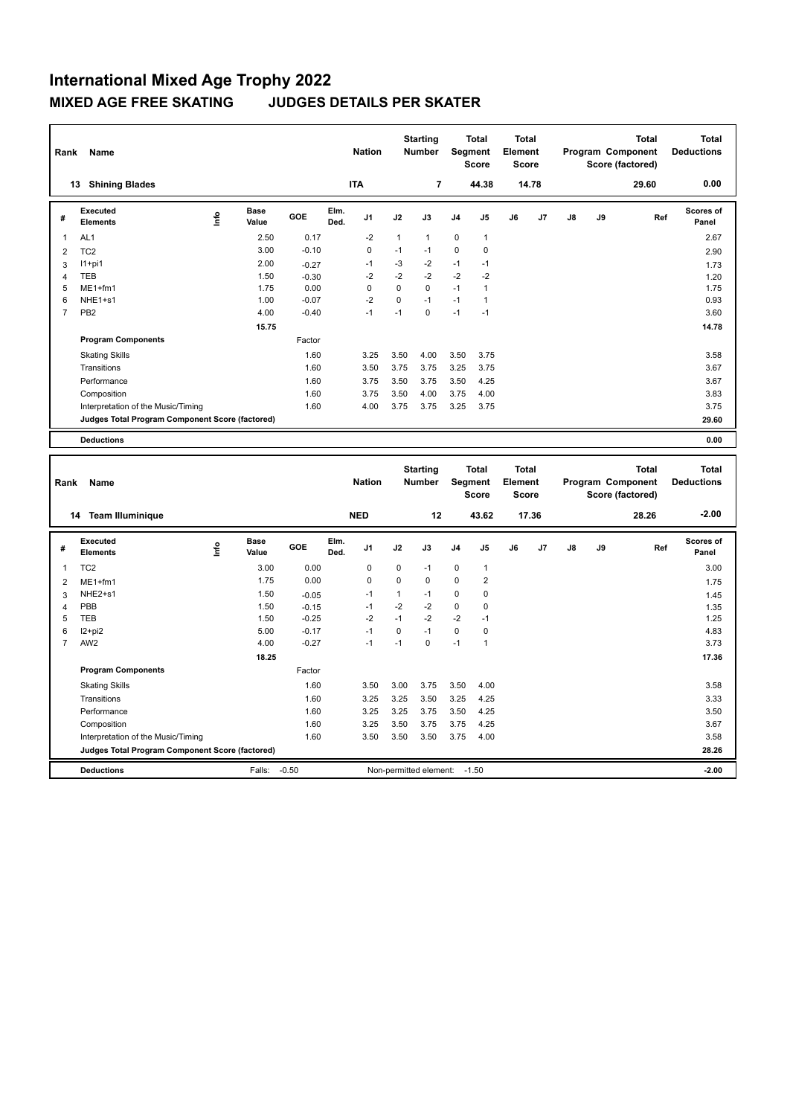| Rank           | Name                                            |      |                      |         |              | <b>Nation</b> |          | <b>Starting</b><br><b>Number</b> |                | <b>Total</b><br>Segment<br><b>Score</b> | <b>Total</b><br>Element<br><b>Score</b> |       |    |    | <b>Total</b><br>Program Component<br>Score (factored) | <b>Total</b><br><b>Deductions</b> |
|----------------|-------------------------------------------------|------|----------------------|---------|--------------|---------------|----------|----------------------------------|----------------|-----------------------------------------|-----------------------------------------|-------|----|----|-------------------------------------------------------|-----------------------------------|
| 13             | <b>Shining Blades</b>                           |      |                      |         |              | <b>ITA</b>    |          | 7                                |                | 44.38                                   |                                         | 14.78 |    |    | 29.60                                                 | 0.00                              |
| #              | Executed<br><b>Elements</b>                     | lnfo | <b>Base</b><br>Value | GOE     | Elm.<br>Ded. | J1            | J2       | J3                               | J <sub>4</sub> | J <sub>5</sub>                          | J6                                      | J7    | J8 | J9 | Ref                                                   | <b>Scores of</b><br>Panel         |
| $\mathbf{1}$   | AL <sub>1</sub>                                 |      | 2.50                 | 0.17    |              | $-2$          | 1        | $\mathbf{1}$                     | $\mathbf 0$    | $\mathbf{1}$                            |                                         |       |    |    |                                                       | 2.67                              |
| 2              | TC <sub>2</sub>                                 |      | 3.00                 | $-0.10$ |              | 0             | $-1$     | $-1$                             | $\mathbf 0$    | 0                                       |                                         |       |    |    |                                                       | 2.90                              |
| 3              | $11+pi1$                                        |      | 2.00                 | $-0.27$ |              | -1            | $-3$     | $-2$                             | $-1$           | $-1$                                    |                                         |       |    |    |                                                       | 1.73                              |
| $\overline{4}$ | TEB                                             |      | 1.50                 | $-0.30$ |              | $-2$          | $-2$     | $-2$                             | $-2$           | $-2$                                    |                                         |       |    |    |                                                       | 1.20                              |
| 5              | $ME1+fm1$                                       |      | 1.75                 | 0.00    |              | 0             | 0        | 0                                | $-1$           | $\overline{1}$                          |                                         |       |    |    |                                                       | 1.75                              |
| 6              | NHE <sub>1+s1</sub>                             |      | 1.00                 | $-0.07$ |              | $-2$          | $\Omega$ | $-1$                             | $-1$           | 1                                       |                                         |       |    |    |                                                       | 0.93                              |
| $\overline{7}$ | PB <sub>2</sub>                                 |      | 4.00                 | $-0.40$ |              | $-1$          | $-1$     | $\mathbf 0$                      | $-1$           | $-1$                                    |                                         |       |    |    |                                                       | 3.60                              |
|                |                                                 |      | 15.75                |         |              |               |          |                                  |                |                                         |                                         |       |    |    |                                                       | 14.78                             |
|                | <b>Program Components</b>                       |      |                      | Factor  |              |               |          |                                  |                |                                         |                                         |       |    |    |                                                       |                                   |
|                | <b>Skating Skills</b>                           |      |                      | 1.60    |              | 3.25          | 3.50     | 4.00                             | 3.50           | 3.75                                    |                                         |       |    |    |                                                       | 3.58                              |
|                | Transitions                                     |      |                      | 1.60    |              | 3.50          | 3.75     | 3.75                             | 3.25           | 3.75                                    |                                         |       |    |    |                                                       | 3.67                              |
|                | Performance                                     |      |                      | 1.60    |              | 3.75          | 3.50     | 3.75                             | 3.50           | 4.25                                    |                                         |       |    |    |                                                       | 3.67                              |
|                | Composition                                     |      |                      | 1.60    |              | 3.75          | 3.50     | 4.00                             | 3.75           | 4.00                                    |                                         |       |    |    |                                                       | 3.83                              |
|                | Interpretation of the Music/Timing              |      |                      | 1.60    |              | 4.00          | 3.75     | 3.75                             | 3.25           | 3.75                                    |                                         |       |    |    |                                                       | 3.75                              |
|                | Judges Total Program Component Score (factored) |      |                      |         |              |               |          |                                  |                |                                         |                                         |       |    |    |                                                       | 29.60                             |
|                | <b>Deductions</b>                               |      |                      |         |              |               |          |                                  |                |                                         |                                         |       |    |    |                                                       | 0.00                              |

| Rank           | Name                                            |      |                      |         |              | <b>Nation</b>  |          | <b>Starting</b><br><b>Number</b> |                | <b>Total</b><br>Segment<br><b>Score</b> | <b>Total</b><br>Element<br><b>Score</b> |       |    |    | Total<br>Program Component<br>Score (factored) | <b>Total</b><br><b>Deductions</b> |
|----------------|-------------------------------------------------|------|----------------------|---------|--------------|----------------|----------|----------------------------------|----------------|-----------------------------------------|-----------------------------------------|-------|----|----|------------------------------------------------|-----------------------------------|
|                | <b>Team Illuminique</b><br>14                   |      |                      |         |              | <b>NED</b>     |          | 12                               |                | 43.62                                   |                                         | 17.36 |    |    | 28.26                                          | $-2.00$                           |
| #              | Executed<br><b>Elements</b>                     | ١nfo | <b>Base</b><br>Value | GOE     | Elm.<br>Ded. | J <sub>1</sub> | J2       | J3                               | J <sub>4</sub> | J <sub>5</sub>                          | J6                                      | J7    | J8 | J9 | Ref                                            | Scores of<br>Panel                |
| 1              | TC <sub>2</sub>                                 |      | 3.00                 | 0.00    |              | 0              | 0        | $-1$                             | 0              | $\mathbf{1}$                            |                                         |       |    |    |                                                | 3.00                              |
| $\overline{2}$ | $ME1+fm1$                                       |      | 1.75                 | 0.00    |              | 0              | $\Omega$ | $\mathbf 0$                      | 0              | $\overline{2}$                          |                                         |       |    |    |                                                | 1.75                              |
| 3              | NHE2+s1                                         |      | 1.50                 | $-0.05$ |              | $-1$           | 1        | $-1$                             | 0              | 0                                       |                                         |       |    |    |                                                | 1.45                              |
| 4              | PBB                                             |      | 1.50                 | $-0.15$ |              | $-1$           | $-2$     | $-2$                             | 0              | 0                                       |                                         |       |    |    |                                                | 1.35                              |
| 5              | <b>TEB</b>                                      |      | 1.50                 | $-0.25$ |              | $-2$           | $-1$     | $-2$                             | $-2$           | $-1$                                    |                                         |       |    |    |                                                | 1.25                              |
| 6              | $12+pi2$                                        |      | 5.00                 | $-0.17$ |              | $-1$           | $\Omega$ | $-1$                             | $\Omega$       | $\mathbf 0$                             |                                         |       |    |    |                                                | 4.83                              |
|                | AW <sub>2</sub>                                 |      | 4.00                 | $-0.27$ |              | $-1$           | $-1$     | 0                                | $-1$           | 1                                       |                                         |       |    |    |                                                | 3.73                              |
|                |                                                 |      | 18.25                |         |              |                |          |                                  |                |                                         |                                         |       |    |    |                                                | 17.36                             |
|                | <b>Program Components</b>                       |      |                      | Factor  |              |                |          |                                  |                |                                         |                                         |       |    |    |                                                |                                   |
|                | <b>Skating Skills</b>                           |      |                      | 1.60    |              | 3.50           | 3.00     | 3.75                             | 3.50           | 4.00                                    |                                         |       |    |    |                                                | 3.58                              |
|                | Transitions                                     |      |                      | 1.60    |              | 3.25           | 3.25     | 3.50                             | 3.25           | 4.25                                    |                                         |       |    |    |                                                | 3.33                              |
|                | Performance                                     |      |                      | 1.60    |              | 3.25           | 3.25     | 3.75                             | 3.50           | 4.25                                    |                                         |       |    |    |                                                | 3.50                              |
|                | Composition                                     |      |                      | 1.60    |              | 3.25           | 3.50     | 3.75                             | 3.75           | 4.25                                    |                                         |       |    |    |                                                | 3.67                              |
|                | Interpretation of the Music/Timing              |      |                      | 1.60    |              | 3.50           | 3.50     | 3.50                             | 3.75           | 4.00                                    |                                         |       |    |    |                                                | 3.58                              |
|                | Judges Total Program Component Score (factored) |      |                      |         |              |                |          |                                  |                |                                         |                                         |       |    |    |                                                | 28.26                             |
|                | <b>Deductions</b>                               |      | Falls:               | $-0.50$ |              |                |          | Non-permitted element:           |                | $-1.50$                                 |                                         |       |    |    |                                                | $-2.00$                           |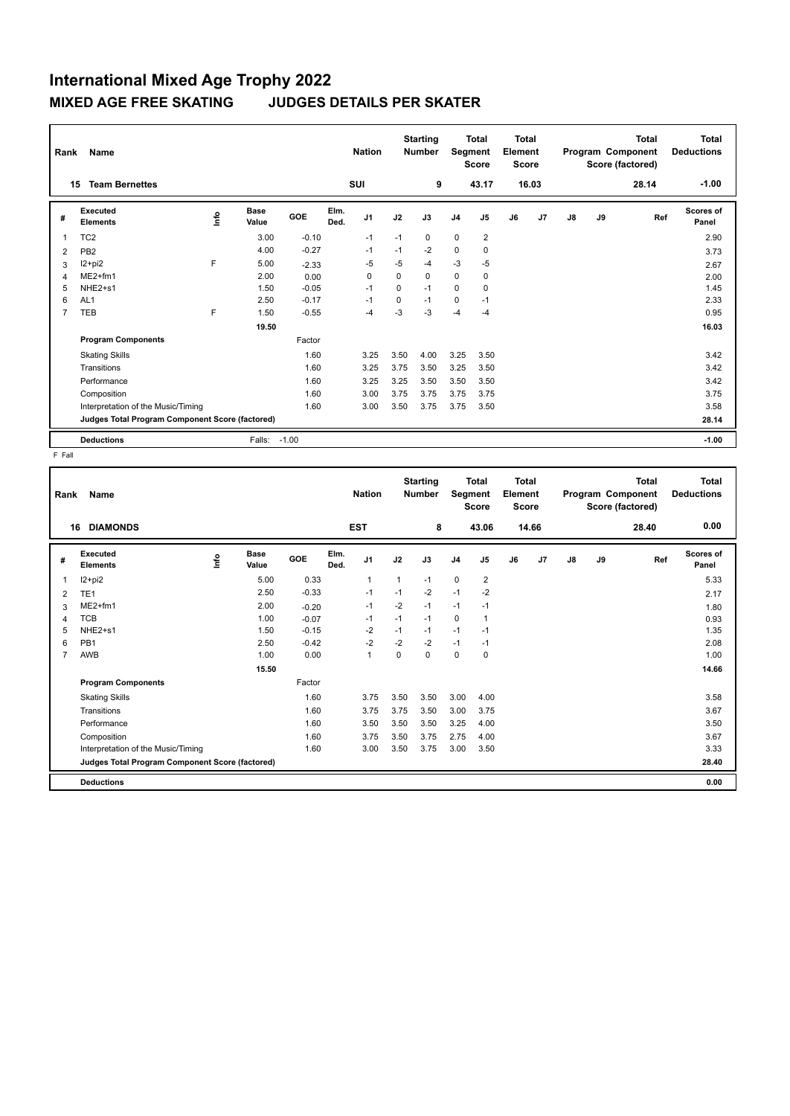| Rank | Name                                            |      | <b>Nation</b>        |         |              | <b>Starting</b><br><b>Number</b> |             | <b>Total</b><br>Segment<br><b>Score</b> |                | Total<br>Element<br><b>Score</b> |    |       | <b>Total</b><br>Program Component<br>Score (factored) | <b>Total</b><br><b>Deductions</b> |       |                           |
|------|-------------------------------------------------|------|----------------------|---------|--------------|----------------------------------|-------------|-----------------------------------------|----------------|----------------------------------|----|-------|-------------------------------------------------------|-----------------------------------|-------|---------------------------|
|      | <b>Team Bernettes</b><br>15                     |      |                      |         |              | SUI                              |             | 9                                       |                | 43.17                            |    | 16.03 |                                                       |                                   | 28.14 | $-1.00$                   |
| #    | Executed<br><b>Elements</b>                     | lnfo | <b>Base</b><br>Value | GOE     | Elm.<br>Ded. | J <sub>1</sub>                   | J2          | J3                                      | J <sub>4</sub> | J <sub>5</sub>                   | J6 | J7    | J8                                                    | J9                                | Ref   | <b>Scores of</b><br>Panel |
| 1    | TC <sub>2</sub>                                 |      | 3.00                 | $-0.10$ |              | $-1$                             | $-1$        | 0                                       | $\mathbf 0$    | $\overline{2}$                   |    |       |                                                       |                                   |       | 2.90                      |
| 2    | PB <sub>2</sub>                                 |      | 4.00                 | $-0.27$ |              | -1                               | $-1$        | $-2$                                    | 0              | 0                                |    |       |                                                       |                                   |       | 3.73                      |
| 3    | $12+pi2$                                        | F    | 5.00                 | $-2.33$ |              | $-5$                             | $-5$        | -4                                      | $-3$           | $-5$                             |    |       |                                                       |                                   |       | 2.67                      |
| 4    | $ME2+fm1$                                       |      | 2.00                 | 0.00    |              | $\Omega$                         | 0           | 0                                       | 0              | 0                                |    |       |                                                       |                                   |       | 2.00                      |
| 5    | NHE2+s1                                         |      | 1.50                 | $-0.05$ |              | $-1$                             | $\Omega$    | $-1$                                    | $\Omega$       | $\mathbf 0$                      |    |       |                                                       |                                   |       | 1.45                      |
| 6    | AL <sub>1</sub>                                 |      | 2.50                 | $-0.17$ |              | $-1$                             | $\mathbf 0$ | $-1$                                    | $\mathbf 0$    | $-1$                             |    |       |                                                       |                                   |       | 2.33                      |
| 7    | TEB                                             | F    | 1.50                 | $-0.55$ |              | $-4$                             | $-3$        | -3                                      | $-4$           | $-4$                             |    |       |                                                       |                                   |       | 0.95                      |
|      |                                                 |      | 19.50                |         |              |                                  |             |                                         |                |                                  |    |       |                                                       |                                   |       | 16.03                     |
|      | <b>Program Components</b>                       |      |                      | Factor  |              |                                  |             |                                         |                |                                  |    |       |                                                       |                                   |       |                           |
|      | <b>Skating Skills</b>                           |      |                      | 1.60    |              | 3.25                             | 3.50        | 4.00                                    | 3.25           | 3.50                             |    |       |                                                       |                                   |       | 3.42                      |
|      | Transitions                                     |      |                      | 1.60    |              | 3.25                             | 3.75        | 3.50                                    | 3.25           | 3.50                             |    |       |                                                       |                                   |       | 3.42                      |
|      | Performance                                     |      |                      | 1.60    |              | 3.25                             | 3.25        | 3.50                                    | 3.50           | 3.50                             |    |       |                                                       |                                   |       | 3.42                      |
|      | Composition                                     |      |                      | 1.60    |              | 3.00                             | 3.75        | 3.75                                    | 3.75           | 3.75                             |    |       |                                                       |                                   |       | 3.75                      |
|      | Interpretation of the Music/Timing              |      |                      | 1.60    |              | 3.00                             | 3.50        | 3.75                                    | 3.75           | 3.50                             |    |       |                                                       |                                   |       | 3.58                      |
|      | Judges Total Program Component Score (factored) |      |                      |         |              |                                  |             |                                         |                |                                  |    |       |                                                       |                                   |       | 28.14                     |
|      | <b>Deductions</b>                               |      | Falls:               | $-1.00$ |              |                                  |             |                                         |                |                                  |    |       |                                                       |                                   |       | $-1.00$                   |

| Rank           | <b>Name</b>                                     |      |                      |         |              | <b>Nation</b>  |          | <b>Starting</b><br><b>Number</b> |                | <b>Total</b><br>Segment<br><b>Score</b> | <b>Total</b><br>Element<br><b>Score</b> |       |    |    | <b>Total</b><br>Program Component<br>Score (factored) | <b>Total</b><br><b>Deductions</b> |
|----------------|-------------------------------------------------|------|----------------------|---------|--------------|----------------|----------|----------------------------------|----------------|-----------------------------------------|-----------------------------------------|-------|----|----|-------------------------------------------------------|-----------------------------------|
|                | <b>DIAMONDS</b><br>16                           |      |                      |         |              | <b>EST</b>     |          | 8                                |                | 43.06                                   |                                         | 14.66 |    |    | 28.40                                                 | 0.00                              |
| #              | <b>Executed</b><br><b>Elements</b>              | ١nf٥ | <b>Base</b><br>Value | GOE     | Elm.<br>Ded. | J <sub>1</sub> | J2       | J3                               | J <sub>4</sub> | J5                                      | J6                                      | J7    | J8 | J9 | Ref                                                   | Scores of<br>Panel                |
| 1              | $12+pi2$                                        |      | 5.00                 | 0.33    |              | $\mathbf{1}$   | 1        | $-1$                             | $\mathbf 0$    | $\overline{2}$                          |                                         |       |    |    |                                                       | 5.33                              |
| 2              | TE <sub>1</sub>                                 |      | 2.50                 | $-0.33$ |              | $-1$           | $-1$     | $-2$                             | $-1$           | $-2$                                    |                                         |       |    |    |                                                       | 2.17                              |
| 3              | $ME2+fm1$                                       |      | 2.00                 | $-0.20$ |              | $-1$           | $-2$     | $-1$                             | $-1$           | $-1$                                    |                                         |       |    |    |                                                       | 1.80                              |
| 4              | <b>TCB</b>                                      |      | 1.00                 | $-0.07$ |              | $-1$           | $-1$     | $-1$                             | $\Omega$       | $\mathbf{1}$                            |                                         |       |    |    |                                                       | 0.93                              |
| 5              | NHE <sub>2+s1</sub>                             |      | 1.50                 | $-0.15$ |              | $-2$           | $-1$     | $-1$                             | $-1$           | $-1$                                    |                                         |       |    |    |                                                       | 1.35                              |
| 6              | PB <sub>1</sub>                                 |      | 2.50                 | $-0.42$ |              | $-2$           | $-2$     | $-2$                             | $-1$           | $-1$                                    |                                         |       |    |    |                                                       | 2.08                              |
| $\overline{7}$ | AWB                                             |      | 1.00                 | 0.00    |              | $\mathbf{1}$   | $\Omega$ | 0                                | $\mathbf 0$    | 0                                       |                                         |       |    |    |                                                       | 1.00                              |
|                |                                                 |      | 15.50                |         |              |                |          |                                  |                |                                         |                                         |       |    |    |                                                       | 14.66                             |
|                | <b>Program Components</b>                       |      |                      | Factor  |              |                |          |                                  |                |                                         |                                         |       |    |    |                                                       |                                   |
|                | <b>Skating Skills</b>                           |      |                      | 1.60    |              | 3.75           | 3.50     | 3.50                             | 3.00           | 4.00                                    |                                         |       |    |    |                                                       | 3.58                              |
|                | Transitions                                     |      |                      | 1.60    |              | 3.75           | 3.75     | 3.50                             | 3.00           | 3.75                                    |                                         |       |    |    |                                                       | 3.67                              |
|                | Performance                                     |      |                      | 1.60    |              | 3.50           | 3.50     | 3.50                             | 3.25           | 4.00                                    |                                         |       |    |    |                                                       | 3.50                              |
|                | Composition                                     |      |                      | 1.60    |              | 3.75           | 3.50     | 3.75                             | 2.75           | 4.00                                    |                                         |       |    |    |                                                       | 3.67                              |
|                | Interpretation of the Music/Timing              |      |                      | 1.60    |              | 3.00           | 3.50     | 3.75                             | 3.00           | 3.50                                    |                                         |       |    |    |                                                       | 3.33                              |
|                | Judges Total Program Component Score (factored) |      |                      |         |              |                |          |                                  |                |                                         |                                         |       |    |    |                                                       | 28.40                             |
|                | <b>Deductions</b>                               |      |                      |         |              |                |          |                                  |                |                                         |                                         |       |    |    |                                                       | 0.00                              |